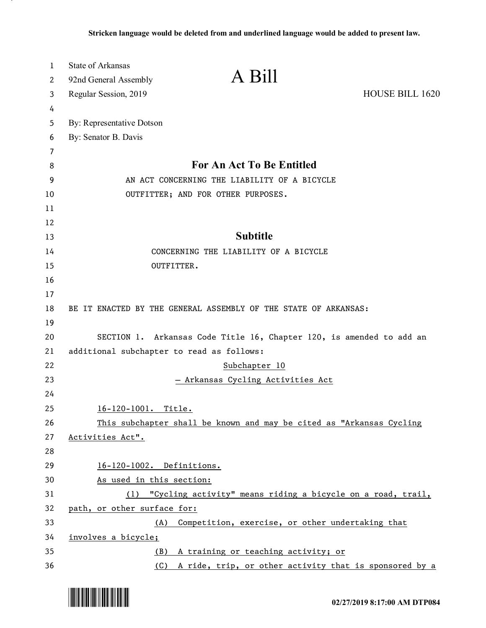| 1        | <b>State of Arkansas</b>                                             |                 |
|----------|----------------------------------------------------------------------|-----------------|
| 2        | A Bill<br>92nd General Assembly                                      |                 |
| 3        | Regular Session, 2019                                                | HOUSE BILL 1620 |
| 4        |                                                                      |                 |
| 5        | By: Representative Dotson                                            |                 |
| 6        | By: Senator B. Davis                                                 |                 |
| 7        |                                                                      |                 |
| 8        | For An Act To Be Entitled                                            |                 |
| 9        | AN ACT CONCERNING THE LIABILITY OF A BICYCLE                         |                 |
| 10       | OUTFITTER; AND FOR OTHER PURPOSES.                                   |                 |
| 11       |                                                                      |                 |
| 12       |                                                                      |                 |
| 13       | <b>Subtitle</b>                                                      |                 |
| 14       | CONCERNING THE LIABILITY OF A BICYCLE                                |                 |
| 15       | OUTFITTER.                                                           |                 |
| 16       |                                                                      |                 |
| 17<br>18 |                                                                      |                 |
| 19       | BE IT ENACTED BY THE GENERAL ASSEMBLY OF THE STATE OF ARKANSAS:      |                 |
| 20       | SECTION 1. Arkansas Code Title 16, Chapter 120, is amended to add an |                 |
| 21       | additional subchapter to read as follows:                            |                 |
| 22       | Subchapter 10                                                        |                 |
| 23       | Arkansas Cycling Activities Act                                      |                 |
| 24       |                                                                      |                 |
| 25       | 16-120-1001. Title.                                                  |                 |
| 26       | This subchapter shall be known and may be cited as "Arkansas Cycling |                 |
| 27       | Activities Act".                                                     |                 |
| 28       |                                                                      |                 |
| 29       | 16-120-1002. Definitions.                                            |                 |
| 30       | As used in this section:                                             |                 |
| 31       | (1) "Cycling activity" means riding a bicycle on a road, trail,      |                 |
| 32       | path, or other surface for:                                          |                 |
| 33       | Competition, exercise, or other undertaking that<br>(A)              |                 |
| 34       | involves a bicycle;                                                  |                 |
| 35       | A training or teaching activity; or<br>(B)                           |                 |
| 36       | (C)<br>A ride, trip, or other activity that is sponsored by a        |                 |

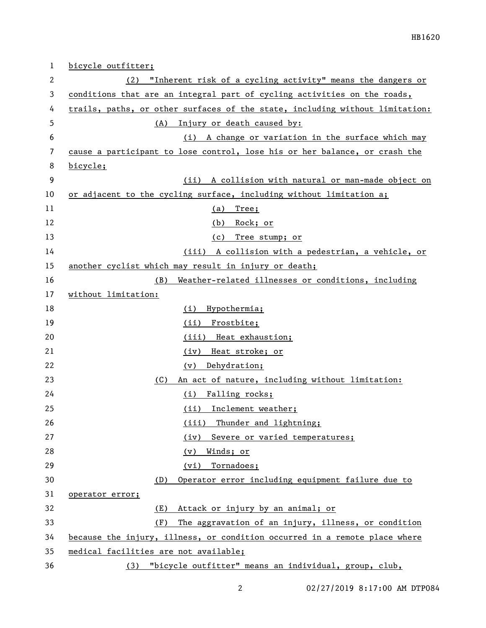| 1  | bicycle outfitter;                                                           |
|----|------------------------------------------------------------------------------|
| 2  | (2) "Inherent risk of a cycling activity" means the dangers or               |
| 3  | conditions that are an integral part of cycling activities on the roads,     |
| 4  | trails, paths, or other surfaces of the state, including without limitation: |
| 5  | Injury or death caused by:<br>(A)                                            |
| 6  | (i) A change or variation in the surface which may                           |
| 7  | cause a participant to lose control, lose his or her balance, or crash the   |
| 8  | bicycle;                                                                     |
| 9  | (ii) A collision with natural or man-made object on                          |
| 10 | or adjacent to the cycling surface, including without limitation a;          |
| 11 | Tree;<br><u>(a)</u>                                                          |
| 12 | (b) Rock; or                                                                 |
| 13 | (c) Tree stump; or                                                           |
| 14 | (iii) A collision with a pedestrian, a vehicle, or                           |
| 15 | another cyclist which may result in injury or death;                         |
| 16 | Weather-related illnesses or conditions, including<br>(B)                    |
| 17 | without limitation:                                                          |
| 18 | Hypothermia;<br>(i)                                                          |
| 19 | Frostbite;<br>(ii)                                                           |
| 20 | (iii) Heat exhaustion;                                                       |
| 21 | Heat stroke; or<br>(iv)                                                      |
| 22 | Dehydration;<br>(v)                                                          |
| 23 | An act of nature, including without limitation:<br>(C)                       |
| 24 | (i) Falling rocks;                                                           |
| 25 | (ii) Inclement weather;                                                      |
| 26 | Thunder and lightning;<br>(iii)                                              |
| 27 | Severe or varied temperatures;<br>(iv)                                       |
| 28 | Winds; or<br>(v)                                                             |
| 29 | (vi)<br>Tornadoes;                                                           |
| 30 | Operator error including equipment failure due to<br>(D)                     |
| 31 | operator error;                                                              |
| 32 | (E)<br>Attack or injury by an animal; or                                     |
| 33 | The aggravation of an injury, illness, or condition<br>(F)                   |
| 34 | because the injury, illness, or condition occurred in a remote place where   |
| 35 | medical facilities are not available;                                        |
| 36 | "bicycle outfitter" means an individual, group, club,<br>(3)                 |

02/27/2019 8:17:00 AM DTP084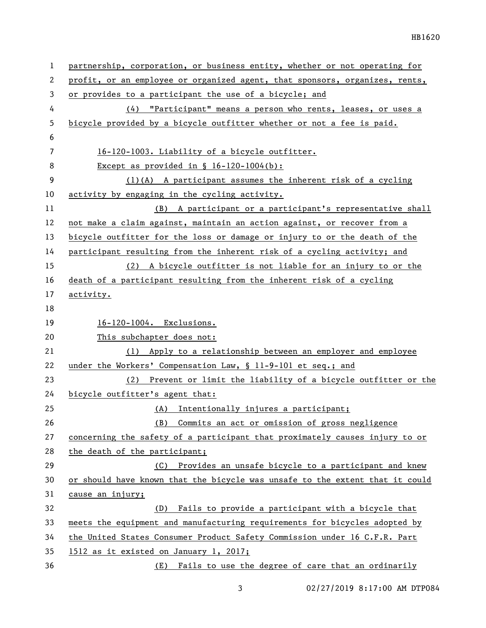| $\mathbf 1$ | partnership, corporation, or business entity, whether or not operating for   |  |
|-------------|------------------------------------------------------------------------------|--|
| 2           | profit, or an employee or organized agent, that sponsors, organizes, rents,  |  |
| 3           | or provides to a participant the use of a bicycle; and                       |  |
| 4           | (4) "Participant" means a person who rents, leases, or uses a                |  |
| 5           | bicycle provided by a bicycle outfitter whether or not a fee is paid.        |  |
| 6           |                                                                              |  |
| 7           | 16-120-1003. Liability of a bicycle outfitter.                               |  |
| 8           | Except as provided in $\S$ 16-120-1004(b):                                   |  |
| 9           | $(1)(A)$ A participant assumes the inherent risk of a cycling                |  |
| 10          | activity by engaging in the cycling activity.                                |  |
| 11          | (B) A participant or a participant's representative shall                    |  |
| 12          | not make a claim against, maintain an action against, or recover from a      |  |
| 13          | bicycle outfitter for the loss or damage or injury to or the death of the    |  |
| 14          | participant resulting from the inherent risk of a cycling activity; and      |  |
| 15          | (2) A bicycle outfitter is not liable for an injury to or the                |  |
| 16          | death of a participant resulting from the inherent risk of a cycling         |  |
| 17          | activity.                                                                    |  |
| 18          |                                                                              |  |
|             |                                                                              |  |
| 19          | 16-120-1004. Exclusions.                                                     |  |
| 20          | This subchapter does not:                                                    |  |
| 21          | (1) Apply to a relationship between an employer and employee                 |  |
| 22          | under the Workers' Compensation Law, § 11-9-101 et seq.; and                 |  |
| 23          | (2) Prevent or limit the liability of a bicycle outfitter or the             |  |
| 24          | bicycle outfitter's agent that:                                              |  |
| 25          | (A) Intentionally injures a participant;                                     |  |
| 26          | Commits an act or omission of gross negligence<br>(B)                        |  |
| 27          | concerning the safety of a participant that proximately causes injury to or  |  |
| 28          | the death of the participant;                                                |  |
| 29          | Provides an unsafe bicycle to a participant and knew<br>(C)                  |  |
| 30          | or should have known that the bicycle was unsafe to the extent that it could |  |
| 31          | cause an injury;                                                             |  |
| 32          | Fails to provide a participant with a bicycle that<br>(D)                    |  |
| 33          | meets the equipment and manufacturing requirements for bicycles adopted by   |  |
| 34          | the United States Consumer Product Safety Commission under 16 C.F.R. Part    |  |
| 35          | 1512 as it existed on January 1, 2017;                                       |  |

3 02/27/2019 8:17:00 AM DTP084